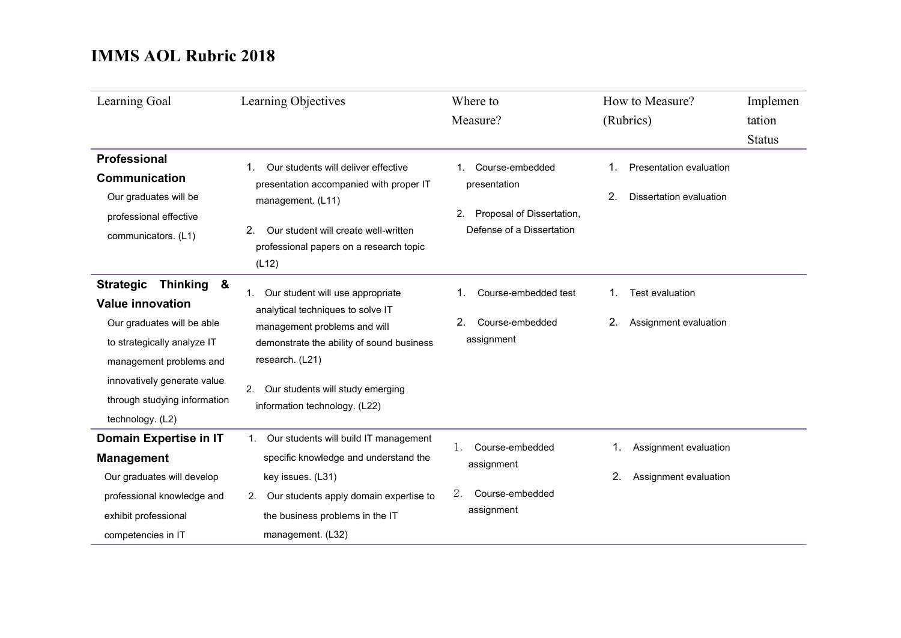| Learning Goal                                                                                                                                                                                                                        | Learning Objectives                                                                                                                                                                                                                                    | Where to<br>Measure?                                                                                 | How to Measure?<br>(Rubrics)                             | Implemen<br>tation<br><b>Status</b> |
|--------------------------------------------------------------------------------------------------------------------------------------------------------------------------------------------------------------------------------------|--------------------------------------------------------------------------------------------------------------------------------------------------------------------------------------------------------------------------------------------------------|------------------------------------------------------------------------------------------------------|----------------------------------------------------------|-------------------------------------|
| <b>Professional</b><br>Communication<br>Our graduates will be<br>professional effective<br>communicators. (L1)                                                                                                                       | Our students will deliver effective<br>presentation accompanied with proper IT<br>management. (L11)<br>2.<br>Our student will create well-written<br>professional papers on a research topic<br>(L12)                                                  | Course-embedded<br>1<br>presentation<br>Proposal of Dissertation,<br>2.<br>Defense of a Dissertation | Presentation evaluation<br>2.<br>Dissertation evaluation |                                     |
| <b>Strategic</b><br>Thinking &<br><b>Value innovation</b><br>Our graduates will be able<br>to strategically analyze IT<br>management problems and<br>innovatively generate value<br>through studying information<br>technology. (L2) | Our student will use appropriate<br>1.<br>analytical techniques to solve IT<br>management problems and will<br>demonstrate the ability of sound business<br>research. (L21)<br>Our students will study emerging<br>2.<br>information technology. (L22) | Course-embedded test<br>2.<br>Course-embedded<br>assignment                                          | Test evaluation<br>2.<br>Assignment evaluation           |                                     |
| Domain Expertise in IT<br><b>Management</b><br>Our graduates will develop<br>professional knowledge and<br>exhibit professional<br>competencies in IT                                                                                | Our students will build IT management<br>1.<br>specific knowledge and understand the<br>key issues. (L31)<br>Our students apply domain expertise to<br>2.<br>the business problems in the IT<br>management. (L32)                                      | Course-embedded<br>1.<br>assignment<br>2.<br>Course-embedded<br>assignment                           | Assignment evaluation<br>2.<br>Assignment evaluation     |                                     |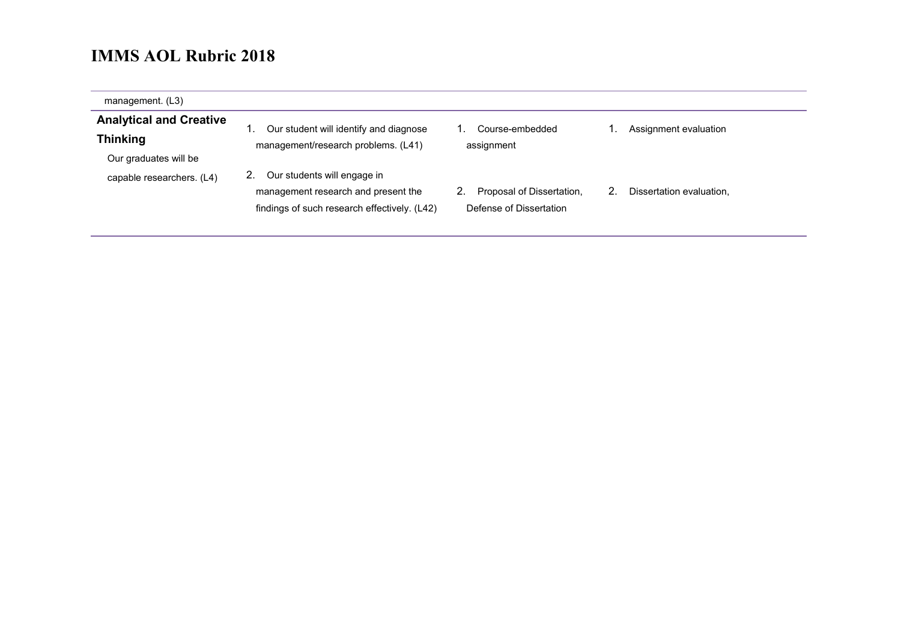| management. (L3)                                                           |                                                                                                                    |                                                      |                          |
|----------------------------------------------------------------------------|--------------------------------------------------------------------------------------------------------------------|------------------------------------------------------|--------------------------|
| <b>Analytical and Creative</b><br><b>Thinking</b><br>Our graduates will be | Our student will identify and diagnose<br>management/research problems. (L41)                                      | Course-embedded<br>assignment                        | Assignment evaluation    |
| capable researchers. (L4)                                                  | Our students will engage in<br>management research and present the<br>findings of such research effectively. (L42) | Proposal of Dissertation,<br>Defense of Dissertation | Dissertation evaluation, |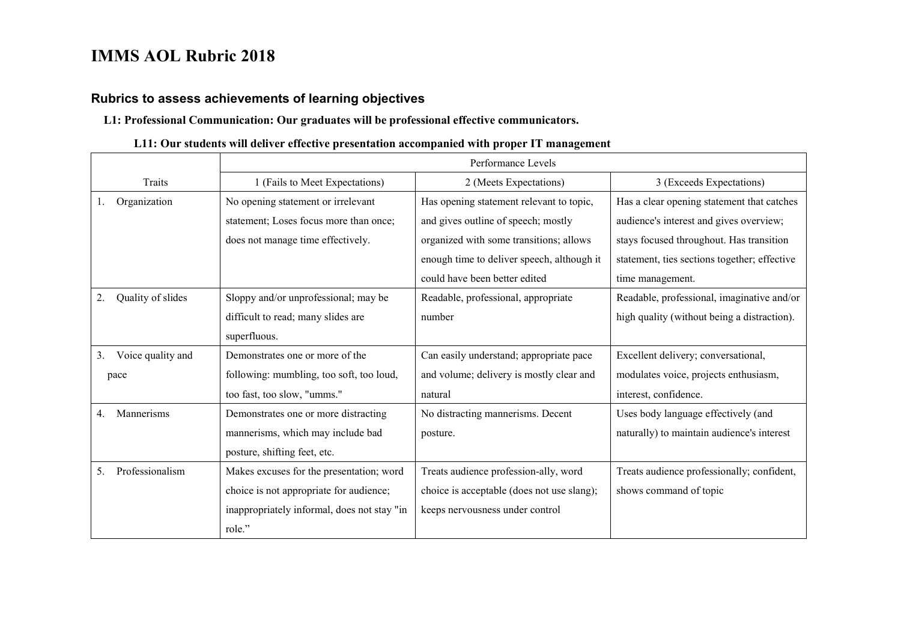$\blacksquare$ 

#### **Rubrics to assess achievements of learning objectives**

#### **L1: Professional Communication: Our graduates will be professional effective communicators.**

#### **L11: Our students will deliver effective presentation accompanied with proper IT management**

|                         | Performance Levels                          |                                            |                                              |
|-------------------------|---------------------------------------------|--------------------------------------------|----------------------------------------------|
| Traits                  | 1 (Fails to Meet Expectations)              | 2 (Meets Expectations)                     | 3 (Exceeds Expectations)                     |
| Organization<br>l.      | No opening statement or irrelevant          | Has opening statement relevant to topic,   | Has a clear opening statement that catches   |
|                         | statement; Loses focus more than once;      | and gives outline of speech; mostly        | audience's interest and gives overview;      |
|                         | does not manage time effectively.           | organized with some transitions; allows    | stays focused throughout. Has transition     |
|                         |                                             | enough time to deliver speech, although it | statement, ties sections together; effective |
|                         |                                             | could have been better edited              | time management.                             |
| Quality of slides<br>2. | Sloppy and/or unprofessional; may be        | Readable, professional, appropriate        | Readable, professional, imaginative and/or   |
|                         | difficult to read; many slides are          | number                                     | high quality (without being a distraction).  |
|                         | superfluous.                                |                                            |                                              |
| Voice quality and<br>3. | Demonstrates one or more of the             | Can easily understand; appropriate pace    | Excellent delivery; conversational,          |
| pace                    | following: mumbling, too soft, too loud,    | and volume; delivery is mostly clear and   | modulates voice, projects enthusiasm,        |
|                         | too fast, too slow, "umms."                 | natural                                    | interest, confidence.                        |
| Mannerisms<br>4.        | Demonstrates one or more distracting        | No distracting mannerisms. Decent          | Uses body language effectively (and          |
|                         | mannerisms, which may include bad           | posture.                                   | naturally) to maintain audience's interest   |
|                         | posture, shifting feet, etc.                |                                            |                                              |
| Professionalism<br>5.   | Makes excuses for the presentation; word    | Treats audience profession-ally, word      | Treats audience professionally; confident,   |
|                         | choice is not appropriate for audience;     | choice is acceptable (does not use slang); | shows command of topic                       |
|                         | inappropriately informal, does not stay "in | keeps nervousness under control            |                                              |
|                         | role."                                      |                                            |                                              |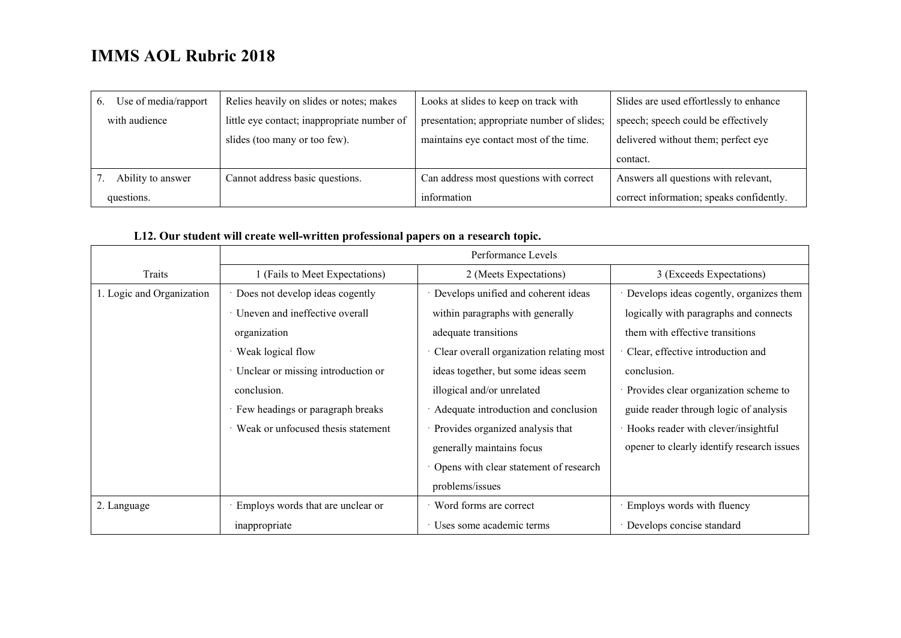| Use of media/rapport<br>$\mathbf{b}$ . | Relies heavily on slides or notes; makes    | Looks at slides to keep on track with       | Slides are used effortlessly to enhance  |
|----------------------------------------|---------------------------------------------|---------------------------------------------|------------------------------------------|
| with audience                          | little eye contact; inappropriate number of | presentation; appropriate number of slides; | speech; speech could be effectively      |
|                                        | slides (too many or too few).               | maintains eye contact most of the time.     | delivered without them; perfect eye      |
|                                        |                                             |                                             | contact.                                 |
| Ability to answer                      | Cannot address basic questions.             | Can address most questions with correct     | Answers all questions with relevant,     |
| questions.                             |                                             | information                                 | correct information; speaks confidently. |

#### **L12. Our student will create well-written professional papers on a research topic.**

|                           | Performance Levels                   |                                          |                                            |
|---------------------------|--------------------------------------|------------------------------------------|--------------------------------------------|
| Traits                    | 1 (Fails to Meet Expectations)       | 2 (Meets Expectations)                   | 3 (Exceeds Expectations)                   |
| 1. Logic and Organization | Does not develop ideas cogently      | Develops unified and coherent ideas      | Develops ideas cogently, organizes them    |
|                           | · Uneven and ineffective overall     | within paragraphs with generally         | logically with paragraphs and connects     |
|                           | organization                         | adequate transitions                     | them with effective transitions            |
|                           | Weak logical flow                    | Clear overall organization relating most | Clear, effective introduction and          |
|                           | · Unclear or missing introduction or | ideas together, but some ideas seem      | conclusion.                                |
|                           | conclusion.                          | illogical and/or unrelated               | · Provides clear organization scheme to    |
|                           | Few headings or paragraph breaks     | Adequate introduction and conclusion     | guide reader through logic of analysis     |
|                           | Weak or unfocused thesis statement   | Provides organized analysis that         | · Hooks reader with clever/insightful      |
|                           |                                      | generally maintains focus                | opener to clearly identify research issues |
|                           |                                      | Opens with clear statement of research   |                                            |
|                           |                                      | problems/issues                          |                                            |
| 2. Language               | Employs words that are unclear or    | Word forms are correct                   | Employs words with fluency                 |
|                           | inappropriate                        | Uses some academic terms                 | Develops concise standard                  |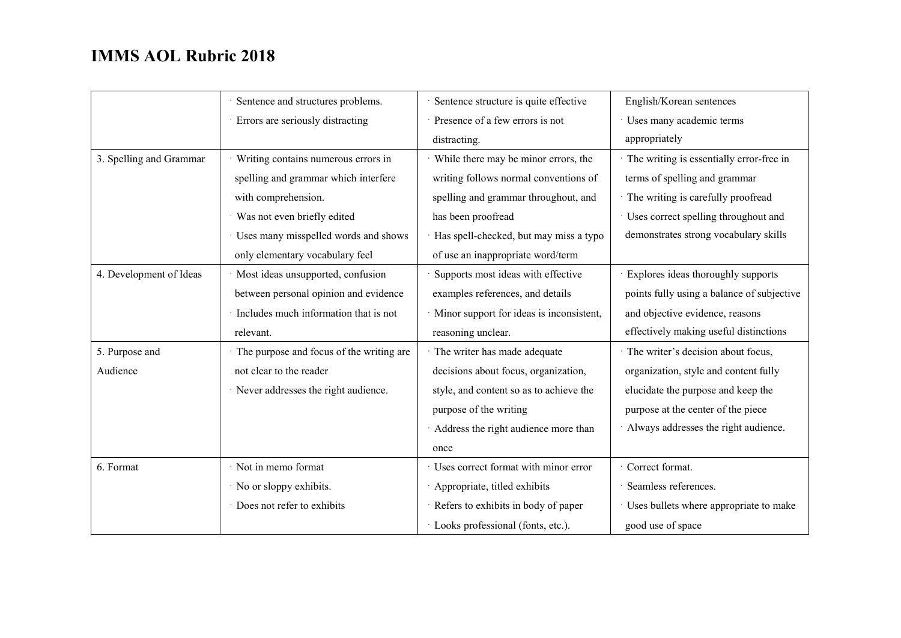|                         | Sentence and structures problems.        | Sentence structure is quite effective      | English/Korean sentences                   |
|-------------------------|------------------------------------------|--------------------------------------------|--------------------------------------------|
|                         | · Errors are seriously distracting       | Presence of a few errors is not            | Uses many academic terms                   |
|                         |                                          | distracting.                               | appropriately                              |
| 3. Spelling and Grammar | Writing contains numerous errors in      | · While there may be minor errors, the     | · The writing is essentially error-free in |
|                         | spelling and grammar which interfere     | writing follows normal conventions of      | terms of spelling and grammar              |
|                         | with comprehension.                      | spelling and grammar throughout, and       | · The writing is carefully proofread       |
|                         | Was not even briefly edited              | has been proofread                         | Uses correct spelling throughout and       |
|                         | · Uses many misspelled words and shows   | Has spell-checked, but may miss a typo     | demonstrates strong vocabulary skills      |
|                         | only elementary vocabulary feel          | of use an inappropriate word/term          |                                            |
| 4. Development of Ideas | Most ideas unsupported, confusion        | Supports most ideas with effective         | Explores ideas thoroughly supports         |
|                         | between personal opinion and evidence    | examples references, and details           | points fully using a balance of subjective |
|                         | Includes much information that is not    | · Minor support for ideas is inconsistent, | and objective evidence, reasons            |
|                         | relevant.                                | reasoning unclear.                         | effectively making useful distinctions     |
| 5. Purpose and          | The purpose and focus of the writing are | The writer has made adequate               | · The writer's decision about focus,       |
| Audience                | not clear to the reader                  | decisions about focus, organization,       | organization, style and content fully      |
|                         | · Never addresses the right audience.    | style, and content so as to achieve the    | elucidate the purpose and keep the         |
|                         |                                          | purpose of the writing                     | purpose at the center of the piece         |
|                         |                                          | Address the right audience more than       | Always addresses the right audience.       |
|                         |                                          | once                                       |                                            |
| 6. Format               | Not in memo format                       | Uses correct format with minor error       | Correct format.                            |
|                         | No or sloppy exhibits.                   | Appropriate, titled exhibits               | Seamless references.                       |
|                         | Does not refer to exhibits               | Refers to exhibits in body of paper        | Uses bullets where appropriate to make     |
|                         |                                          | · Looks professional (fonts, etc.).        | good use of space                          |
|                         |                                          |                                            |                                            |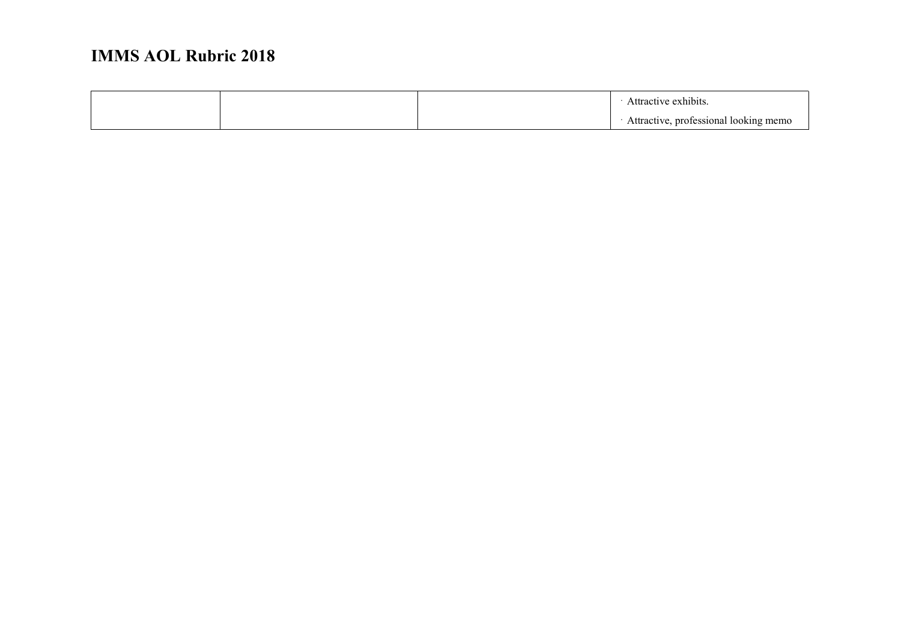|  |  | ctive exhibits                        |
|--|--|---------------------------------------|
|  |  | Attractive, professional looking memo |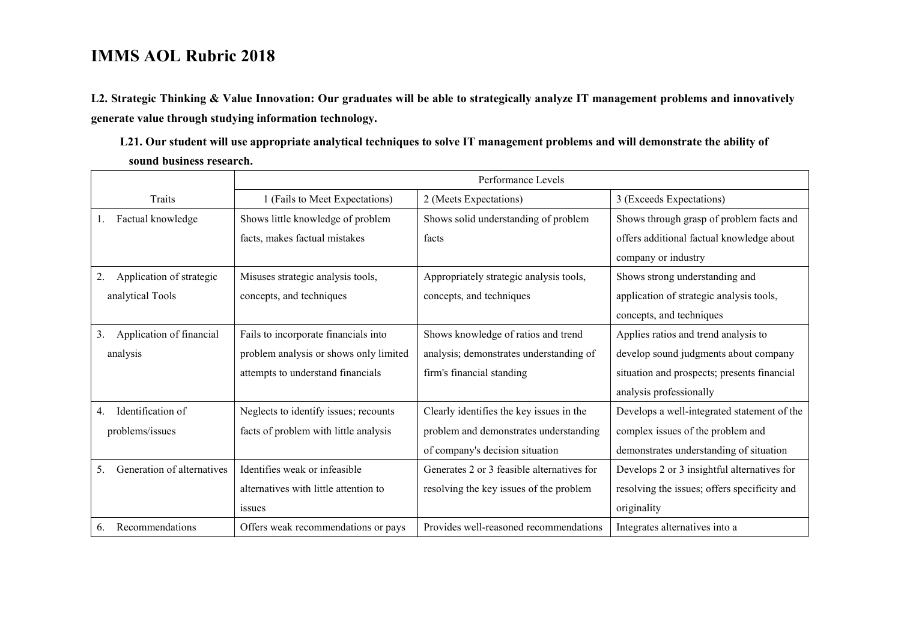**L2. Strategic Thinking & Value Innovation: Our graduates will be able to strategically analyze IT management problems and innovatively generate value through studying information technology. L21. Our student will use appropriate analytical techniques to solve IT management problems and will demonstrate the ability of** 

**sound business research.**

|                                  | Performance Levels                     |                                            |                                              |
|----------------------------------|----------------------------------------|--------------------------------------------|----------------------------------------------|
| Traits                           | 1 (Fails to Meet Expectations)         | 2 (Meets Expectations)                     | 3 (Exceeds Expectations)                     |
| Factual knowledge                | Shows little knowledge of problem      | Shows solid understanding of problem       | Shows through grasp of problem facts and     |
|                                  | facts, makes factual mistakes          | facts                                      | offers additional factual knowledge about    |
|                                  |                                        |                                            | company or industry                          |
| Application of strategic<br>2.   | Misuses strategic analysis tools,      | Appropriately strategic analysis tools,    | Shows strong understanding and               |
| analytical Tools                 | concepts, and techniques               | concepts, and techniques                   | application of strategic analysis tools,     |
|                                  |                                        |                                            | concepts, and techniques                     |
| Application of financial<br>3.   | Fails to incorporate financials into   | Shows knowledge of ratios and trend        | Applies ratios and trend analysis to         |
| analysis                         | problem analysis or shows only limited | analysis; demonstrates understanding of    | develop sound judgments about company        |
|                                  | attempts to understand financials      | firm's financial standing                  | situation and prospects; presents financial  |
|                                  |                                        |                                            | analysis professionally                      |
| Identification of<br>4.          | Neglects to identify issues; recounts  | Clearly identifies the key issues in the   | Develops a well-integrated statement of the  |
| problems/issues                  | facts of problem with little analysis  | problem and demonstrates understanding     | complex issues of the problem and            |
|                                  |                                        | of company's decision situation            | demonstrates understanding of situation      |
| Generation of alternatives<br>5. | Identifies weak or infeasible          | Generates 2 or 3 feasible alternatives for | Develops 2 or 3 insightful alternatives for  |
|                                  | alternatives with little attention to  | resolving the key issues of the problem    | resolving the issues; offers specificity and |
|                                  | <i>ssues</i>                           |                                            | originality                                  |
| Recommendations<br>6.            | Offers weak recommendations or pays    | Provides well-reasoned recommendations     | Integrates alternatives into a               |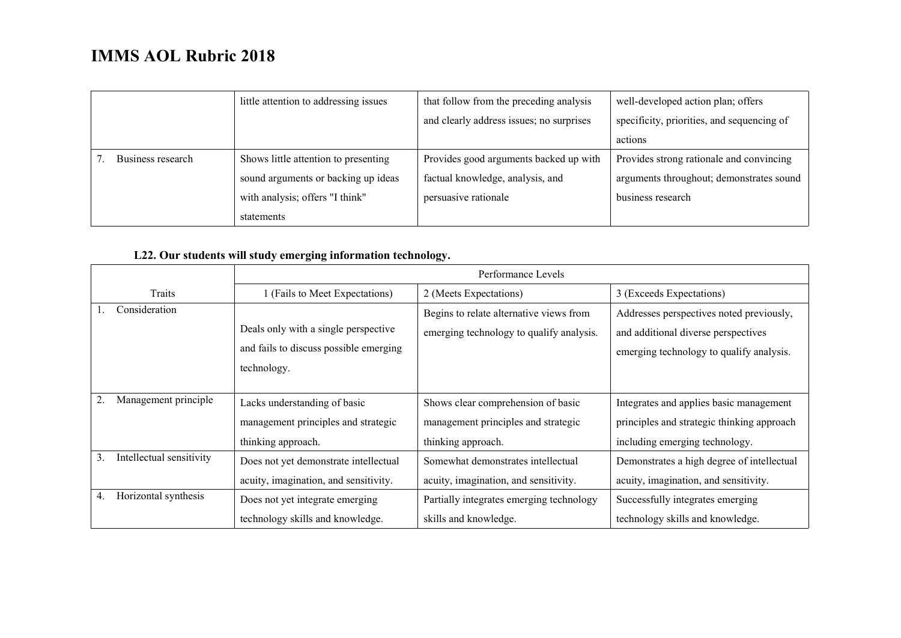|                   | little attention to addressing issues | that follow from the preceding analysis  | well-developed action plan; offers         |
|-------------------|---------------------------------------|------------------------------------------|--------------------------------------------|
|                   |                                       | and clearly address issues; no surprises | specificity, priorities, and sequencing of |
|                   |                                       |                                          | actions                                    |
| Business research | Shows little attention to presenting  | Provides good arguments backed up with   | Provides strong rationale and convincing   |
|                   | sound arguments or backing up ideas   | factual knowledge, analysis, and         | arguments throughout; demonstrates sound   |
|                   | with analysis; offers "I think"       | persuasive rationale                     | business research                          |
|                   | statements                            |                                          |                                            |

#### **L22. Our students will study emerging information technology.**

|                                | Performance Levels                     |                                          |                                            |
|--------------------------------|----------------------------------------|------------------------------------------|--------------------------------------------|
| Traits                         | 1 (Fails to Meet Expectations)         | 2 (Meets Expectations)                   | 3 (Exceeds Expectations)                   |
| Consideration                  |                                        | Begins to relate alternative views from  | Addresses perspectives noted previously,   |
|                                | Deals only with a single perspective   | emerging technology to qualify analysis. | and additional diverse perspectives        |
|                                | and fails to discuss possible emerging |                                          | emerging technology to qualify analysis.   |
|                                | technology.                            |                                          |                                            |
|                                |                                        |                                          |                                            |
| Management principle           | Lacks understanding of basic           | Shows clear comprehension of basic       | Integrates and applies basic management    |
|                                | management principles and strategic    | management principles and strategic      | principles and strategic thinking approach |
|                                | thinking approach.                     | thinking approach.                       | including emerging technology.             |
| Intellectual sensitivity<br>3. | Does not yet demonstrate intellectual  | Somewhat demonstrates intellectual       | Demonstrates a high degree of intellectual |
|                                | acuity, imagination, and sensitivity.  | acuity, imagination, and sensitivity.    | acuity, imagination, and sensitivity.      |
| Horizontal synthesis<br>4.     | Does not yet integrate emerging        | Partially integrates emerging technology | Successfully integrates emerging           |
|                                | technology skills and knowledge.       | skills and knowledge.                    | technology skills and knowledge.           |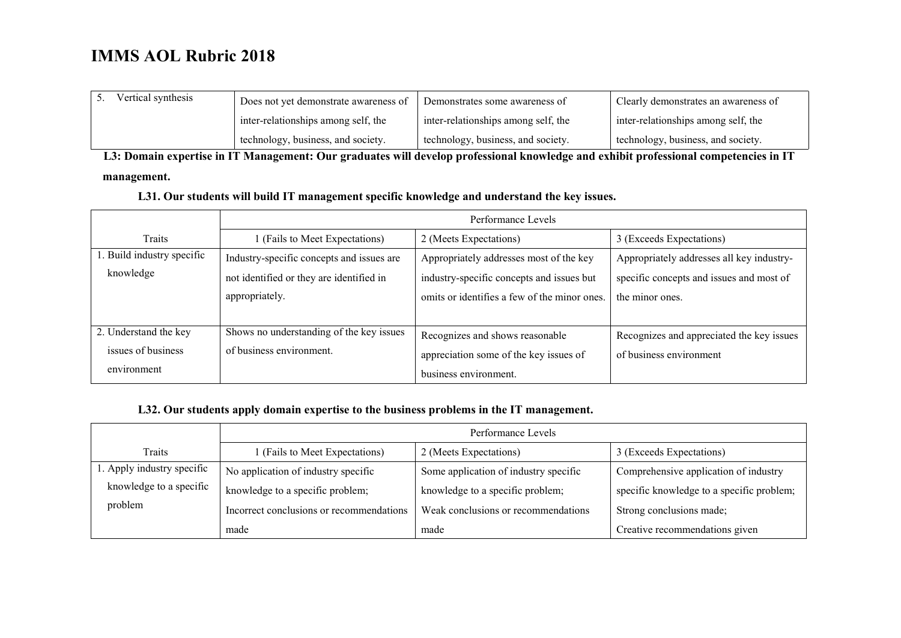| Vertical synthesis | Does not yet demonstrate awareness of | Demonstrates some awareness of      | Clearly demonstrates an awareness of |
|--------------------|---------------------------------------|-------------------------------------|--------------------------------------|
|                    | inter-relationships among self, the   | inter-relationships among self, the | inter-relationships among self, the  |
|                    | technology, business, and society.    | technology, business, and society.  | technology, business, and society.   |

**L3: Domain expertise in IT Management: Our graduates will develop professional knowledge and exhibit professional competencies in IT** 

#### **management.**

#### **L31. Our students will build IT management specific knowledge and understand the key issues.**

|                            | Performance Levels                        |                                              |                                           |  |
|----------------------------|-------------------------------------------|----------------------------------------------|-------------------------------------------|--|
| Traits                     | (Fails to Meet Expectations)              | 2 (Meets Expectations)                       | 3 (Exceeds Expectations)                  |  |
| 1. Build industry specific | Industry-specific concepts and issues are | Appropriately addresses most of the key      | Appropriately addresses all key industry- |  |
| knowledge                  | not identified or they are identified in  | industry-specific concepts and issues but    | specific concepts and issues and most of  |  |
|                            | appropriately.                            | omits or identifies a few of the minor ones. | the minor ones.                           |  |
|                            |                                           |                                              |                                           |  |
| 2. Understand the key      | Shows no understanding of the key issues  | Recognizes and shows reasonable              | Recognizes and appreciated the key issues |  |
| issues of business         | of business environment.                  | appreciation some of the key issues of       | of business environment                   |  |
| environment                |                                           | business environment.                        |                                           |  |

#### **L32. Our students apply domain expertise to the business problems in the IT management.**

|                            | Performance Levels                       |                                       |                                           |
|----------------------------|------------------------------------------|---------------------------------------|-------------------------------------------|
| Traits                     | 1 (Fails to Meet Expectations)           | 2 (Meets Expectations)                | 3 (Exceeds Expectations)                  |
| 1. Apply industry specific | No application of industry specific      | Some application of industry specific | Comprehensive application of industry     |
| knowledge to a specific    | knowledge to a specific problem;         | knowledge to a specific problem;      | specific knowledge to a specific problem; |
| problem                    | Incorrect conclusions or recommendations | Weak conclusions or recommendations   | Strong conclusions made;                  |
|                            | made                                     | made                                  | Creative recommendations given            |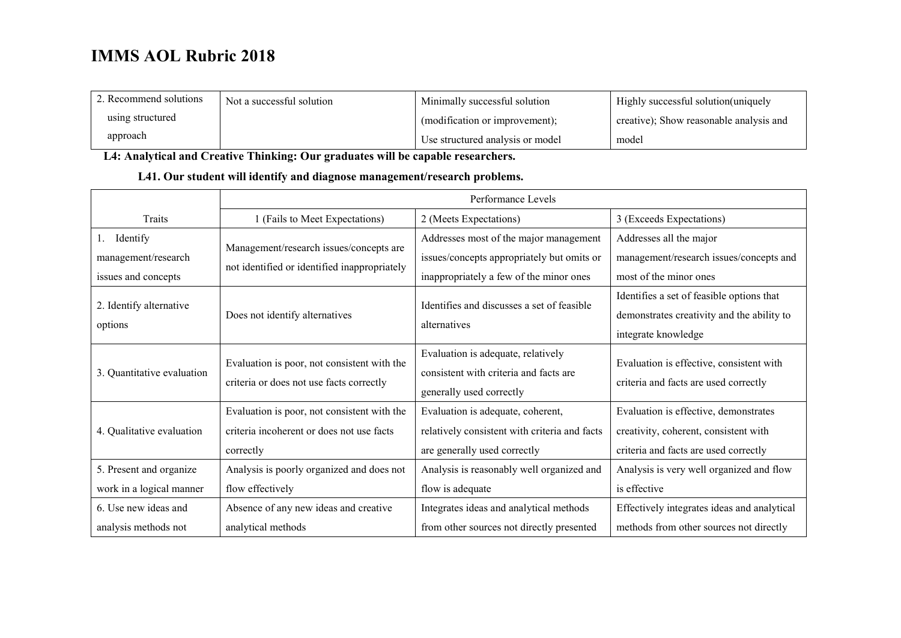| 2. Recommend solutions | Not a successful solution | Minimally successful solution    | Highly successful solution (uniquely    |
|------------------------|---------------------------|----------------------------------|-----------------------------------------|
| using structured       |                           | (modification or improvement);   | creative); Show reasonable analysis and |
| approach               |                           | Use structured analysis or model | model                                   |

**L4: Analytical and Creative Thinking: Our graduates will be capable researchers.**

#### **L41. Our student will identify and diagnose management/research problems.**

|                            | Performance Levels                                                                      |                                                                                                          |                                                                                   |
|----------------------------|-----------------------------------------------------------------------------------------|----------------------------------------------------------------------------------------------------------|-----------------------------------------------------------------------------------|
| Traits                     | 1 (Fails to Meet Expectations)                                                          | 2 (Meets Expectations)                                                                                   | 3 (Exceeds Expectations)                                                          |
| Identify<br>1.             |                                                                                         | Addresses most of the major management                                                                   | Addresses all the major                                                           |
| management/research        | Management/research issues/concepts are                                                 | issues/concepts appropriately but omits or                                                               | management/research issues/concepts and                                           |
| issues and concepts        | not identified or identified inappropriately                                            | inappropriately a few of the minor ones                                                                  | most of the minor ones                                                            |
|                            | Does not identify alternatives                                                          | Identifies and discusses a set of feasible                                                               | Identifies a set of feasible options that                                         |
| 2. Identify alternative    |                                                                                         | alternatives                                                                                             | demonstrates creativity and the ability to                                        |
| options                    |                                                                                         |                                                                                                          | integrate knowledge                                                               |
| 3. Quantitative evaluation | Evaluation is poor, not consistent with the<br>criteria or does not use facts correctly | Evaluation is adequate, relatively<br>consistent with criteria and facts are<br>generally used correctly | Evaluation is effective, consistent with<br>criteria and facts are used correctly |
|                            | Evaluation is poor, not consistent with the                                             | Evaluation is adequate, coherent,                                                                        | Evaluation is effective, demonstrates                                             |
| 4. Qualitative evaluation  | criteria incoherent or does not use facts                                               | relatively consistent with criteria and facts                                                            | creativity, coherent, consistent with                                             |
|                            | correctly                                                                               | are generally used correctly                                                                             | criteria and facts are used correctly                                             |
| 5. Present and organize    | Analysis is poorly organized and does not                                               | Analysis is reasonably well organized and                                                                | Analysis is very well organized and flow                                          |
| work in a logical manner   | flow effectively                                                                        | flow is adequate                                                                                         | is effective                                                                      |
| 6. Use new ideas and       | Absence of any new ideas and creative                                                   | Integrates ideas and analytical methods                                                                  | Effectively integrates ideas and analytical                                       |
| analysis methods not       | analytical methods                                                                      | from other sources not directly presented                                                                | methods from other sources not directly                                           |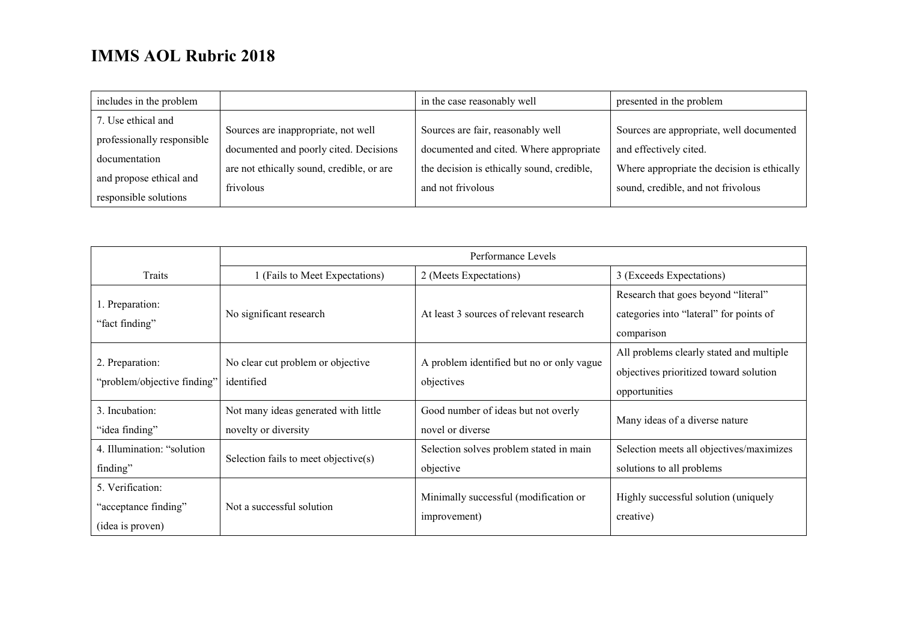| includes in the problem                          |                                           | in the case reasonably well                | presented in the problem                    |
|--------------------------------------------------|-------------------------------------------|--------------------------------------------|---------------------------------------------|
| 7. Use ethical and                               | Sources are inappropriate, not well       | Sources are fair, reasonably well          | Sources are appropriate, well documented    |
| professionally responsible                       | documented and poorly cited. Decisions    | documented and cited. Where appropriate    | and effectively cited.                      |
| documentation                                    | are not ethically sound, credible, or are | the decision is ethically sound, credible, | Where appropriate the decision is ethically |
| and propose ethical and<br>responsible solutions | frivolous                                 | and not frivolous                          | sound, credible, and not frivolous          |

|                                                              | Performance Levels                                           |                                                         |                                                                                                     |
|--------------------------------------------------------------|--------------------------------------------------------------|---------------------------------------------------------|-----------------------------------------------------------------------------------------------------|
| Traits                                                       | 1 (Fails to Meet Expectations)                               | 2 (Meets Expectations)                                  | 3 (Exceeds Expectations)                                                                            |
| 1. Preparation:<br>"fact finding"                            | No significant research                                      | At least 3 sources of relevant research                 | Research that goes beyond "literal"<br>categories into "lateral" for points of<br>comparison        |
| 2. Preparation:<br>"problem/objective finding"               | No clear cut problem or objective<br>identified              | A problem identified but no or only vague<br>objectives | All problems clearly stated and multiple<br>objectives prioritized toward solution<br>opportunities |
| 3. Incubation:<br>"idea finding"                             | Not many ideas generated with little<br>novelty or diversity | Good number of ideas but not overly<br>novel or diverse | Many ideas of a diverse nature                                                                      |
| 4. Illumination: "solution<br>finding"                       | Selection fails to meet objective(s)                         | Selection solves problem stated in main<br>objective    | Selection meets all objectives/maximizes<br>solutions to all problems                               |
| 5. Verification:<br>"acceptance finding"<br>(idea is proven) | Not a successful solution                                    | Minimally successful (modification or<br>improvement)   | Highly successful solution (uniquely<br>creative)                                                   |